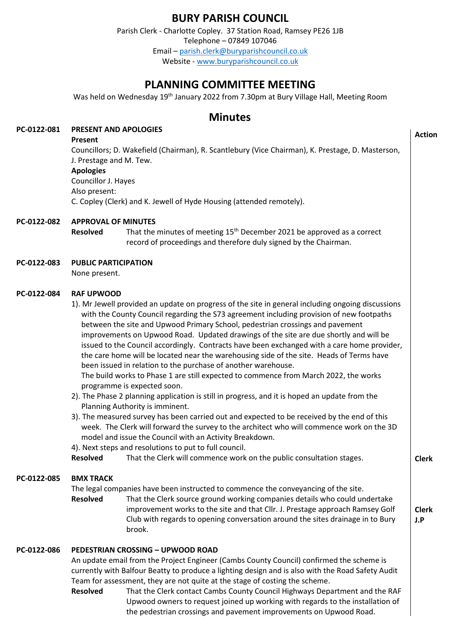# **BURY PARISH COUNCIL**

Parish Clerk - Charlotte Copley. 37 Station Road, Ramsey PE26 1JB Telephone – 07849 107046 Email – [parish.clerk@buryparishcouncil.co.uk](mailto:parish.clerk@buryparishcouncil.co.uk)

Website - [www.buryparishcouncil.co.uk](http://www.buryparishcouncil.co.uk/)

# **PLANNING COMMITTEE MEETING**

Was held on Wednesday 19th January 2022 from 7.30pm at Bury Village Hall, Meeting Room

## **Minutes**

#### **PC-0122-081 PRESENT AND APOLOGIES**

**Present**

**Action**

| <b>FIESEIIL</b>                                                                                  |
|--------------------------------------------------------------------------------------------------|
| Councillors; D. Wakefield (Chairman), R. Scantlebury (Vice Chairman), K. Prestage, D. Masterson, |
| J. Prestage and M. Tew.                                                                          |
| <b>Apologies</b>                                                                                 |
| Councillor J. Hayes                                                                              |
| Also present:                                                                                    |
| C. Copley (Clerk) and K. Jewell of Hyde Housing (attended remotely).                             |
|                                                                                                  |

### **PC-0122-082 APPROVAL OF MINUTES**

**Resolved** That the minutes of meeting 15th December 2021 be approved as a correct record of proceedings and therefore duly signed by the Chairman.

### **PC-0122-083 PUBLIC PARTICIPATION**

None present.

### **PC-0122-084 RAF UPWOOD**

1). Mr Jewell provided an update on progress of the site in general including ongoing discussions with the County Council regarding the S73 agreement including provision of new footpaths between the site and Upwood Primary School, pedestrian crossings and pavement improvements on Upwood Road. Updated drawings of the site are due shortly and will be issued to the Council accordingly. Contracts have been exchanged with a care home provider, the care home will be located near the warehousing side of the site. Heads of Terms have been issued in relation to the purchase of another warehouse.

The build works to Phase 1 are still expected to commence from March 2022, the works programme is expected soon.

- 2). The Phase 2 planning application is still in progress, and it is hoped an update from the Planning Authority is imminent.
- 3). The measured survey has been carried out and expected to be received by the end of this week. The Clerk will forward the survey to the architect who will commence work on the 3D model and issue the Council with an Activity Breakdown.
- 4). Next steps and resolutions to put to full council.

**Resolved** That the Clerk will commence work on the public consultation stages.

#### **PC-0122-085 BMX TRACK**

The legal companies have been instructed to commence the conveyancing of the site.

**Resolved** That the Clerk source ground working companies details who could undertake improvement works to the site and that Cllr. J. Prestage approach Ramsey Golf Club with regards to opening conversation around the sites drainage in to Bury brook.

**Clerk**

**Clerk J.P**

### **PC-0122-086 PEDESTRIAN CROSSING – UPWOOD ROAD**

An update email from the Project Engineer (Cambs County Council) confirmed the scheme is currently with Balfour Beatty to produce a lighting design and is also with the Road Safety Audit Team for assessment, they are not quite at the stage of costing the scheme.

**Resolved** That the Clerk contact Cambs County Council Highways Department and the RAF Upwood owners to request joined up working with regards to the installation of the pedestrian crossings and pavement improvements on Upwood Road.